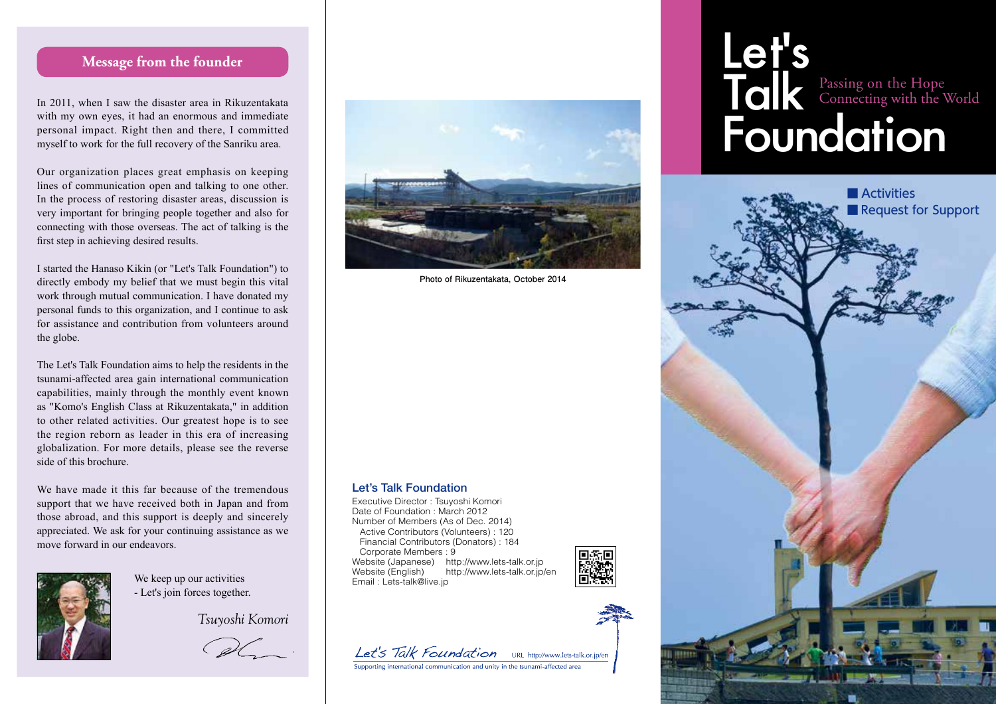## **Message from the founder**

In 2011, when I saw the disaster area in Rikuzentakata with my own eyes, it had an enormous and immediate personal impact. Right then and there, I committed myself to work for the full recovery of the Sanriku area.

Our organization places great emphasis on keeping lines of communication open and talking to one other. In the process of restoring disaster areas, discussion is very important for bringing people together and also for connecting with those overseas. The act of talking is the first step in achieving desired results.

I started the Hanaso Kikin (or "Let's Talk Foundation") to directly embody my belief that we must begin this vital work through mutual communication. I have donated my personal funds to this organization, and I continue to ask for assistance and contribution from volunteers around the globe.

The Let's Talk Foundation aims to help the residents in the tsunami-affected area gain international communication capabilities, mainly through the monthly event known as "Komo's English Class at Rikuzentakata," in addition to other related activities. Our greatest hope is to see the region reborn as leader in this era of increasing globalization. For more details, please see the reverse side of this brochure.

We have made it this far because of the tremendous support that we have received both in Japan and from those abroad, and this support is deeply and sincerely appreciated. We ask for your continuing assistance as we move forward in our endeavors.



We keep up our activities - Let's join forces together.

*Tsuyoshi Komori*

DC.



**Photo of Rikuzentakata, October 2014**

#### Let's Talk Foundation

Executive Director : Tsuyoshi Komori Date of Foundation : March 2012 Number of Members (As of Dec. 2014) Active Contributors (Volunteers) : 120 Financial Contributors (Donators) : 184 Corporate Members : 9 Website (Japanese) http://www.lets-talk.or.jp Website (English) http://www.lets-talk.or.jp/en Email : Lets-talk@live.jp





## Let's Talk Foundation Passing on the Hope Connecting with the World